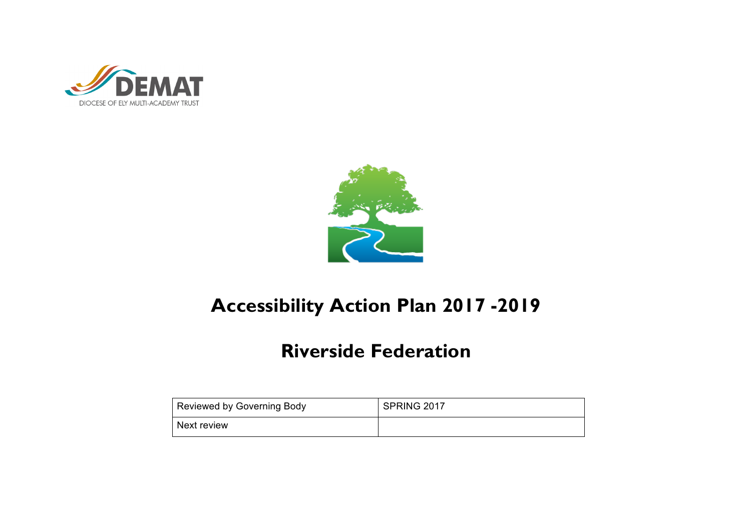



# **Accessibility Action Plan 2017 -2019**

## **Riverside Federation**

| Reviewed by Governing Body | SPRING 2017 |
|----------------------------|-------------|
| Next review                |             |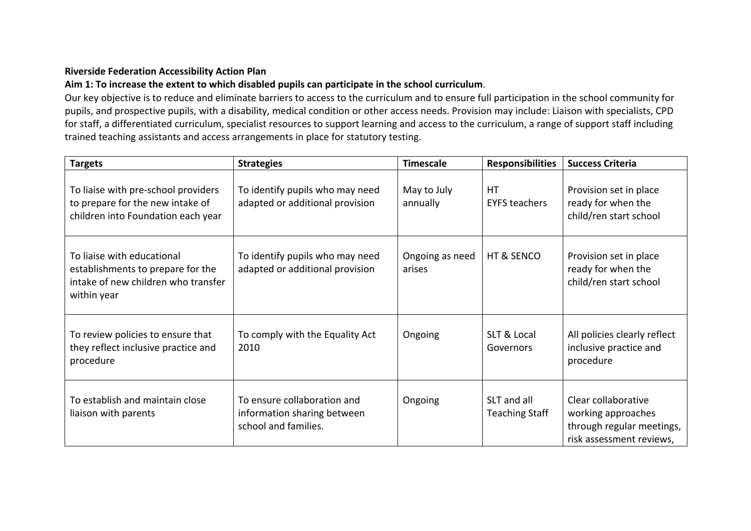#### **Riverside Federation Accessibility Action Plan**

#### Aim 1: To increase the extent to which disabled pupils can participate in the school curriculum.

Our key objective is to reduce and eliminate barriers to access to the curriculum and to ensure full participation in the school community for pupils, and prospective pupils, with a disability, medical condition or other access needs. Provision may include: Liaison with specialists, CPD for staff, a differentiated curriculum, specialist resources to support learning and access to the curriculum, a range of support staff including trained teaching assistants and access arrangements in place for statutory testing.

| <b>Targets</b>                                                                                                        | <b>Strategies</b>                                                                  | <b>Timescale</b>          | <b>Responsibilities</b>              | <b>Success Criteria</b>                                                                            |
|-----------------------------------------------------------------------------------------------------------------------|------------------------------------------------------------------------------------|---------------------------|--------------------------------------|----------------------------------------------------------------------------------------------------|
| To liaise with pre-school providers<br>to prepare for the new intake of<br>children into Foundation each year         | To identify pupils who may need<br>adapted or additional provision                 | May to July<br>annually   | <b>HT</b><br><b>EYFS teachers</b>    | Provision set in place<br>ready for when the<br>child/ren start school                             |
| To liaise with educational<br>establishments to prepare for the<br>intake of new children who transfer<br>within year | To identify pupils who may need<br>adapted or additional provision                 | Ongoing as need<br>arises | HT & SENCO                           | Provision set in place<br>ready for when the<br>child/ren start school                             |
| To review policies to ensure that<br>they reflect inclusive practice and<br>procedure                                 | To comply with the Equality Act<br>2010                                            | Ongoing                   | SLT & Local<br>Governors             | All policies clearly reflect<br>inclusive practice and<br>procedure                                |
| To establish and maintain close<br>liaison with parents                                                               | To ensure collaboration and<br>information sharing between<br>school and families. | Ongoing                   | SLT and all<br><b>Teaching Staff</b> | Clear collaborative<br>working approaches<br>through regular meetings,<br>risk assessment reviews, |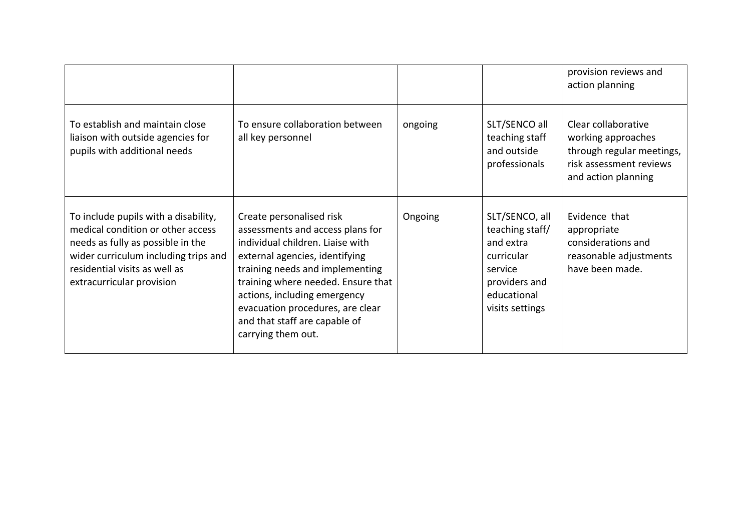|                                                                                                                                                                                                                      |                                                                                                                                                                                                                                                                                                                                        |         |                                                                                                                            | provision reviews and<br>action planning                                                                                 |
|----------------------------------------------------------------------------------------------------------------------------------------------------------------------------------------------------------------------|----------------------------------------------------------------------------------------------------------------------------------------------------------------------------------------------------------------------------------------------------------------------------------------------------------------------------------------|---------|----------------------------------------------------------------------------------------------------------------------------|--------------------------------------------------------------------------------------------------------------------------|
| To establish and maintain close<br>liaison with outside agencies for<br>pupils with additional needs                                                                                                                 | To ensure collaboration between<br>all key personnel                                                                                                                                                                                                                                                                                   | ongoing | SLT/SENCO all<br>teaching staff<br>and outside<br>professionals                                                            | Clear collaborative<br>working approaches<br>through regular meetings,<br>risk assessment reviews<br>and action planning |
| To include pupils with a disability,<br>medical condition or other access<br>needs as fully as possible in the<br>wider curriculum including trips and<br>residential visits as well as<br>extracurricular provision | Create personalised risk<br>assessments and access plans for<br>individual children. Liaise with<br>external agencies, identifying<br>training needs and implementing<br>training where needed. Ensure that<br>actions, including emergency<br>evacuation procedures, are clear<br>and that staff are capable of<br>carrying them out. | Ongoing | SLT/SENCO, all<br>teaching staff/<br>and extra<br>curricular<br>service<br>providers and<br>educational<br>visits settings | Evidence that<br>appropriate<br>considerations and<br>reasonable adjustments<br>have been made.                          |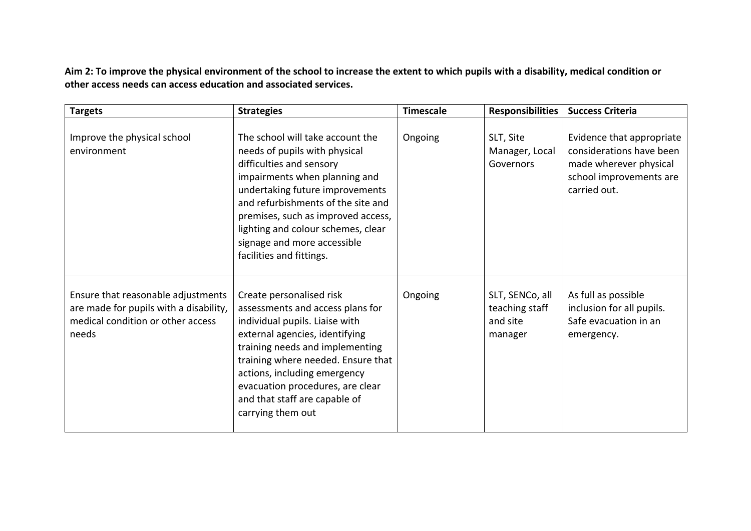Aim 2: To improve the physical environment of the school to increase the extent to which pupils with a disability, medical condition or other access needs can access education and associated services.

| <b>Targets</b>                                                                                                             | <b>Strategies</b>                                                                                                                                                                                                                                                                                                                              | <b>Timescale</b> | <b>Responsibilities</b>                                  | <b>Success Criteria</b>                                                                                                    |
|----------------------------------------------------------------------------------------------------------------------------|------------------------------------------------------------------------------------------------------------------------------------------------------------------------------------------------------------------------------------------------------------------------------------------------------------------------------------------------|------------------|----------------------------------------------------------|----------------------------------------------------------------------------------------------------------------------------|
| Improve the physical school<br>environment                                                                                 | The school will take account the<br>needs of pupils with physical<br>difficulties and sensory<br>impairments when planning and<br>undertaking future improvements<br>and refurbishments of the site and<br>premises, such as improved access,<br>lighting and colour schemes, clear<br>signage and more accessible<br>facilities and fittings. | Ongoing          | SLT, Site<br>Manager, Local<br>Governors                 | Evidence that appropriate<br>considerations have been<br>made wherever physical<br>school improvements are<br>carried out. |
| Ensure that reasonable adjustments<br>are made for pupils with a disability,<br>medical condition or other access<br>needs | Create personalised risk<br>assessments and access plans for<br>individual pupils. Liaise with<br>external agencies, identifying<br>training needs and implementing<br>training where needed. Ensure that<br>actions, including emergency<br>evacuation procedures, are clear<br>and that staff are capable of<br>carrying them out            | Ongoing          | SLT, SENCo, all<br>teaching staff<br>and site<br>manager | As full as possible<br>inclusion for all pupils.<br>Safe evacuation in an<br>emergency.                                    |